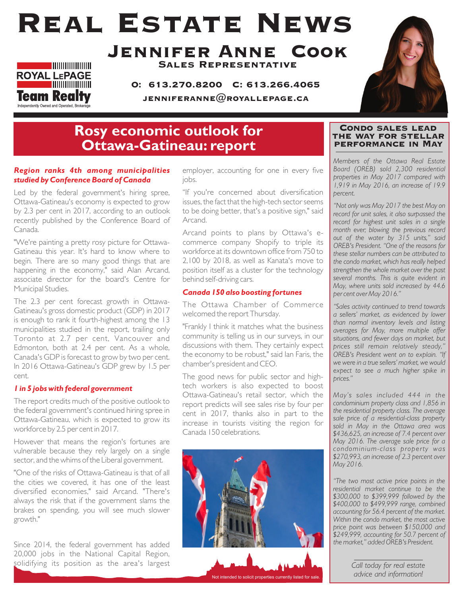# Real Estate News



### Jennifer Anne Cook Sales Representative

O: 613.270.8200 C: 613.266.4065

JENNIFERANNE $@$ ROYALLEPAGE.CA



## **Rosy economic outlook for Ottawa-Gatineau: report**

#### *Region ranks 4th among municipalities studied by Conference Board of Canada*

Led by the federal government's hiring spree, Ottawa-Gatineau's economy is expected to grow by 2.3 per cent in 2017, according to an outlook recently published by the Conference Board of Canada.

"We're painting a pretty rosy picture for Ottawa-Gatineau this year. It's hard to know where to begin. There are so many good things that are happening in the economy," said Alan Arcand, associate director for the board's Centre for Municipal Studies.

The 2.3 per cent forecast growth in Ottawa-Gatineau's gross domestic product (GDP) in 2017 is enough to rank it fourth-highest among the 13 municipalities studied in the report, trailing only Toronto at 2.7 per cent, Vancouver and Edmonton, both at 2.4 per cent. As a whole, Canada's GDP is forecast to grow by two per cent. In 2016 Ottawa-Gatineau's GDP grew by 1.5 per cent.

#### *1 in 5 jobs with federal government*

The report credits much of the positive outlook to the federal government's continued hiring spree in Ottawa-Gatineau, which is expected to grow its workforce by 2.5 per cent in 2017.

However that means the region's fortunes are vulnerable because they rely largely on a single sector, and the whims of the Liberal government.

"One of the risks of Ottawa-Gatineau is that of all the cities we covered, it has one of the least diversified economies," said Arcand. "There's always the risk that if the government slams the brakes on spending, you will see much slower growth."

Since 2014, the federal government has added 20,000 jobs in the National Capital Region, solidifying its position as the area's largest employer, accounting for one in every five jobs.

"If you're concerned about diversification issues, the fact that the high-tech sector seems to be doing better, that's a positive sign," said Arcand.

Arcand points to plans by Ottawa's ecommerce company Shopify to triple its workforce at its downtown office from 750 to 2,100 by 2018, as well as Kanata's move to position itself as a cluster for the technology behind self-driving cars.

#### *Canada 150 also boosting fortunes*

The Ottawa Chamber of Commerce welcomed the report Thursday.

"Frankly I think it matches what the business community is telling us in our surveys, in our discussions with them. They certainly expect the economy to be robust," said Ian Faris, the chamber's president and CEO.

The good news for public sector and hightech workers is also expected to boost Ottawa-Gatineau's retail sector, which the report predicts will see sales rise by four per cent in 2017, thanks also in part to the increase in tourists visiting the region for Canada 150 celebrations.



#### Condo sales lead the way for stellar performance in May

*Members of the Ottawa Real Estate Board (OREB) sold 2,300 residential properties in May 2017 compared with 1,919 in May 2016, an increase of 19.9 percent.* 

*"Not only was May 2017 the best May on record for unit sales, it also surpassed the record for highest unit sales in a single month ever; blowing the previous record out of the water by 315 units," said OREB's President. "One of the reasons for these stellar numbers can be attributed to the condo market, which has really helped strengthen the whole market over the past several months. This is quite evident in May, where units sold increased by 44.6 per cent over May 2016."* 

*"Sales activity continued to trend towards a sellers' market, as evidenced by lower than normal inventory levels and listing averages for May, more multiple offer situations, and fewer days on market, but prices still remain relatively steady," OREB's President went on to explain. "If we were in a true sellers' market, we would expect to see a much higher spike in prices."*

*May's sales included 444 in the condominium property class and 1,856 in the residential property class. The average sale price of a residential-class property sold in May in the Ottawa area was \$436,625, an increase of 7.4 percent over May 2016. The average sale price for a condominium-class property was \$270,993, an increase of 2.3 percent over May 2016.* 

*"The two most active price points in the residential market continue to be the \$300,000 to \$399,999 followed by the \$400,000 to \$499,999 range, combined accounting for 56.4 percent of the market. Within the condo market, the most active price point was between \$150,000 and \$249,999, accounting for 50.7 percent of the market," added OREB's President.*

> *Call today for real estate advice and information!*